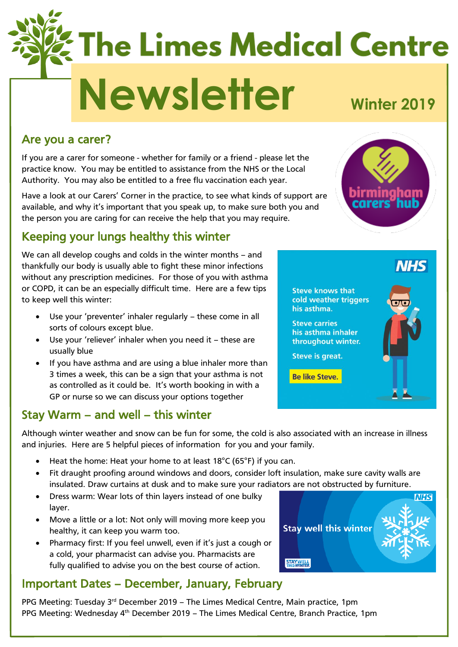# **The Limes Medical Centre Newsletter Winter <sup>2019</sup>**

#### Are you a carer?

If you are a carer for someone - whether for family or a friend - please let the practice know. You may be entitled to assistance from the NHS or the Local Authority. You may also be entitled to a free flu vaccination each year.

Have a look at our Carers' Corner in the practice, to see what kinds of support are available, and why it's important that you speak up, to make sure both you and the person you are caring for can receive the help that you may require.

# Keeping your lungs healthy this winter

We can all develop coughs and colds in the winter months – and thankfully our body is usually able to fight these minor infections without any prescription medicines. For those of you with asthma or COPD, it can be an especially difficult time. Here are a few tips to keep well this winter:

- Use your 'preventer' inhaler regularly these come in all sorts of colours except blue.
- Use your 'reliever' inhaler when you need it these are usually blue
- If you have asthma and are using a blue inhaler more than 3 times a week, this can be a sign that your asthma is not as controlled as it could be. It's worth booking in with a GP or nurse so we can discuss your options together

#### Stay Warm – and well – this winter

Although winter weather and snow can be fun for some, the cold is also associated with an increase in illness and injuries. Here are 5 helpful pieces of information for you and your family.

- Heat the home: Heat your home to at least  $18^{\circ}$ C (65°F) if you can.
- Fit draught proofing around windows and doors, consider loft insulation, make sure cavity walls are insulated. Draw curtains at dusk and to make sure your radiators are not obstructed by furniture.
- Dress warm: Wear lots of thin layers instead of one bulky layer.
- Move a little or a lot: Not only will moving more keep you healthy, it can keep you warm too.
- Pharmacy first: If you feel unwell, even if it's just a cough or a cold, your pharmacist can advise you. Pharmacists are fully qualified to advise you on the best course of action.

#### Important Dates – December, January, February

PPG Meeting: Tuesday  $3<sup>rd</sup>$  December 2019 – The Limes Medical Centre, Main practice, 1pm PPG Meeting: Wednesday 4<sup>th</sup> December 2019 – The Limes Medical Centre, Branch Practice, 1pm





**Steve carries** his asthma inhaler throughout winter.

**Steve is great.** 

**Be like Steve.** 



**NHS**